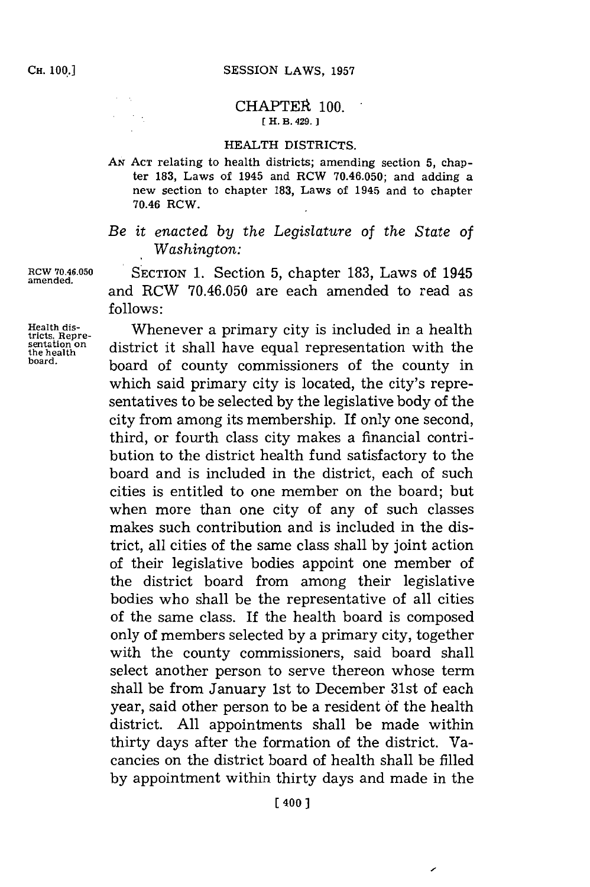## **CHAPTER 100. [H. B. 429.**

## HEALTH DISTRICTS.

*AN* **ACT** relating to health districts; amending section **5,** chapter **183,** Laws of 1945 and RCW **70.46.050;** and adding a new section to chapter **183,** Laws of 1945 and to chapter 70.46 ROW.

*Be it enacted by the Legislature of the State of Washington:*

RCW **70.46.050 S ECTION 1.** Section **5,** chapter **183,** Laws of 1945 and RCW **70.46.050** are each amended to read as **follows:**

Health dis-<br>tricts, Repre-<br>sentation on district it shall have counter connecentation with the **the health** district it shall have equal representation with the health **blue** representation on **the health b board,** board of county commissioners of the county in which said primary city is located, the city's representatives to be selected **by** the legislative body of the city from among its membership. If only one second, third, or fourth class city makes a financial contribution to the district health fund satisfactory to the board and is included in the district, each of such cities is entitled to one member on the board; but when more than one city of any of such classes makes such contribution and is included in the district, all cities of the same class shall **by** joint action of their legislative bodies appoint one member of the district board from among their legislative bodies who shall be the representative of all cities of the same class. If the health board is composed only of members selected **by** a primary city, together with the county commissioners, said board shall select another person to serve thereon whose term shall be from January 1st to December 31st of each year, said other person to be a resident **of** the health district. **All** appointments shall be made within thirty days after the formation of the district. Vacancies on the district board of health shall be filled **by** appointment within thirty days and made in the

**amended.**

 $\sim$  .